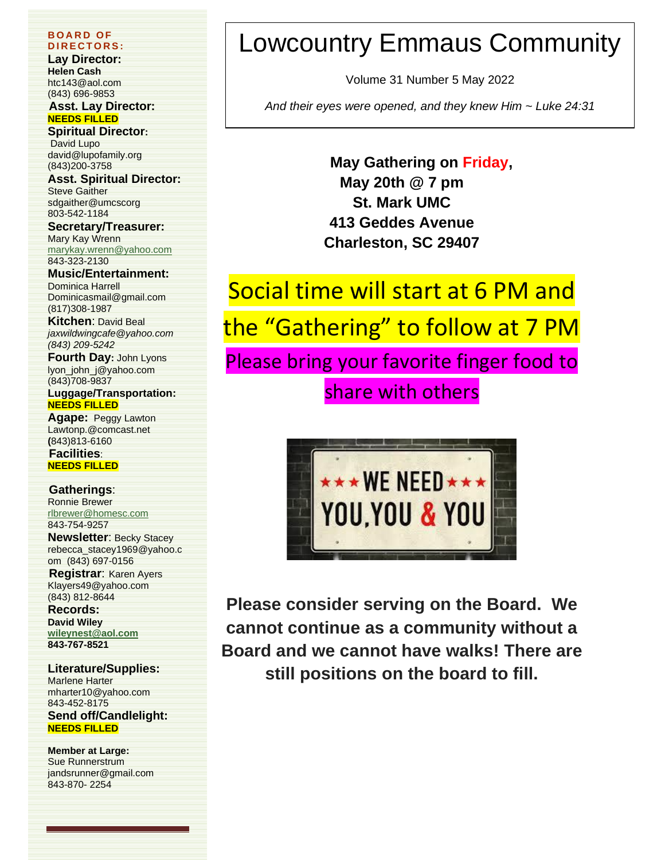#### **B O A R D O F D I R E C T O R S :**

**Lay Director: Helen Cash** htc143@aol.com (843) 696-9853

#### **Asst. Lay Director: NEEDS FILLED**

**Spiritual Director:** David Lupo david@lupofamily.org (843)200-3758

**Asst. Spiritual Director:** Steve Gaither sdgaither@umcscorg 803-542-1184

**Secretary/Treasurer:**  Mary Kay Wrenn

[marykay.wrenn@yahoo.com](mailto:marykay.wrenn@yahoo.com) 843-323-2130

**Music/Entertainment:** Dominica Harrell [Dominicasmail@gmail.com](mailto:Dominicasmail@gmail.com) (817)308-1987

**Kitchen**: David Beal *jaxwildwingcafe@yahoo.com (843) 209-5242*

**Fourth Day:** John Lyons lyon\_john\_j@yahoo.com (843)708-9837

**Luggage/Transportation: NEEDS FILLED**

**Agape:** Peggy Lawton Lawtonp.@comcast.net **(**843)813-6160 **Facilities**:

**NEEDS FILLED**

#### **Gatherings**:

Ronnie Brewer [rlbrewer@homesc.com](mailto:rlbrewer@homesc.com) 843-754-9257

**Newsletter**: Becky Stacey [rebecca\\_stacey1969@yahoo.c](mailto:rebecca_stacey1969@yahoo.com) [om](mailto:rebecca_stacey1969@yahoo.com) (843) 697-0156

**Registrar**: Karen Ayers Klayers49@yahoo.com (843) 812-8644

**Records: David Wiley [wileynest@aol.com](mailto:wileynest@aol.com) 843-767-8521**

#### **Literature/Supplies:**

Marlene Harter mharter10@yahoo.com 843-452-8175 **Send off/Candlelight: NEEDS FILLED**

**Member at Large:** Sue Runnerstrum jandsrunner@gmail.com 843-870- 2254

## Lowcountry Emmaus Community

Volume 31 Number 5 May 2022

*And their eyes were opened, and they knew Him ~ Luke 24:31*

**May Gathering on Friday, May 20th @ 7 pm St. Mark UMC 413 Geddes Avenue Charleston, SC 29407**

# Social time will start at 6 PM and

the "Gathering" to follow at 7 PM

Please bring your favorite finger food to share with others



**Please consider serving on the Board. We cannot continue as a community without a Board and we cannot have walks! There are still positions on the board to fill.**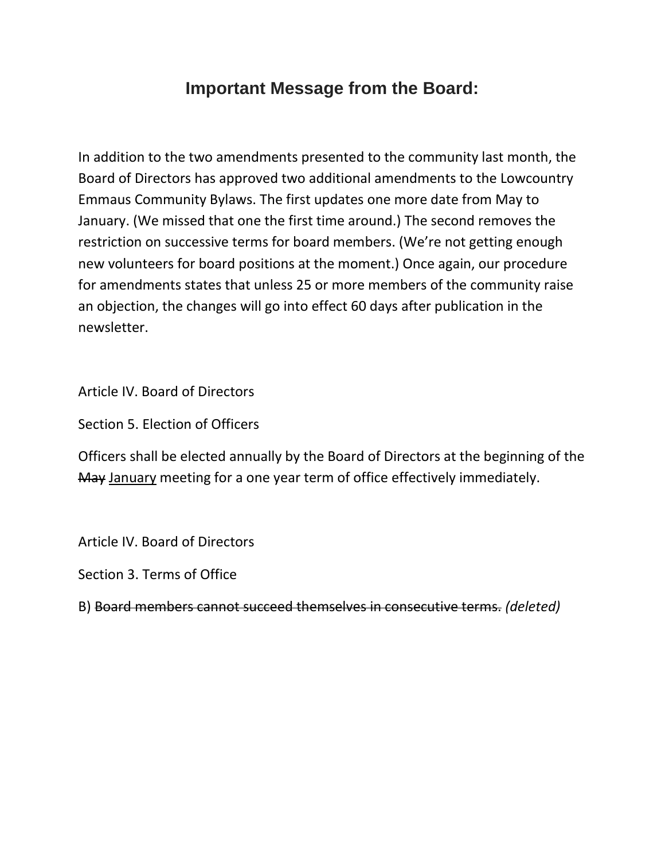## **Important Message from the Board:**

In addition to the two amendments presented to the community last month, the Board of Directors has approved two additional amendments to the Lowcountry Emmaus Community Bylaws. The first updates one more date from May to January. (We missed that one the first time around.) The second removes the restriction on successive terms for board members. (We're not getting enough new volunteers for board positions at the moment.) Once again, our procedure for amendments states that unless 25 or more members of the community raise an objection, the changes will go into effect 60 days after publication in the newsletter.

Article IV. Board of Directors

Section 5. Election of Officers

Officers shall be elected annually by the Board of Directors at the beginning of the May January meeting for a one year term of office effectively immediately.

Article IV. Board of Directors

Section 3. Terms of Office

B) Board members cannot succeed themselves in consecutive terms. *(deleted)*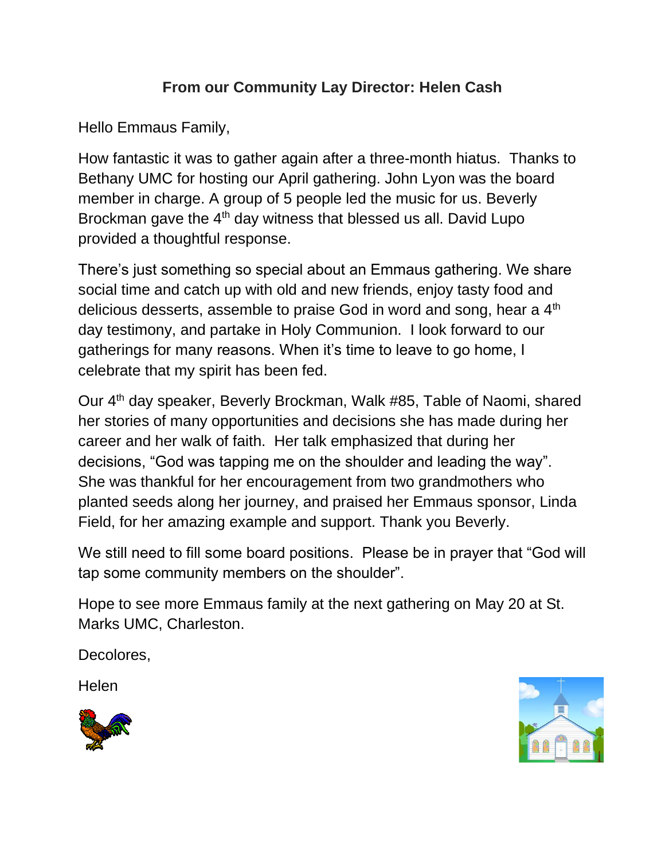## **From our Community Lay Director: Helen Cash**

Hello Emmaus Family,

How fantastic it was to gather again after a three-month hiatus. Thanks to Bethany UMC for hosting our April gathering. John Lyon was the board member in charge. A group of 5 people led the music for us. Beverly Brockman gave the 4<sup>th</sup> day witness that blessed us all. David Lupo provided a thoughtful response.

There's just something so special about an Emmaus gathering. We share social time and catch up with old and new friends, enjoy tasty food and delicious desserts, assemble to praise God in word and song, hear a 4<sup>th</sup> day testimony, and partake in Holy Communion. I look forward to our gatherings for many reasons. When it's time to leave to go home, I celebrate that my spirit has been fed.

Our 4<sup>th</sup> day speaker, Beverly Brockman, Walk #85, Table of Naomi, shared her stories of many opportunities and decisions she has made during her career and her walk of faith. Her talk emphasized that during her decisions, "God was tapping me on the shoulder and leading the way". She was thankful for her encouragement from two grandmothers who planted seeds along her journey, and praised her Emmaus sponsor, Linda Field, for her amazing example and support. Thank you Beverly.

We still need to fill some board positions. Please be in prayer that "God will tap some community members on the shoulder".

Hope to see more Emmaus family at the next gathering on May 20 at St. Marks UMC, Charleston.

Decolores,

Helen



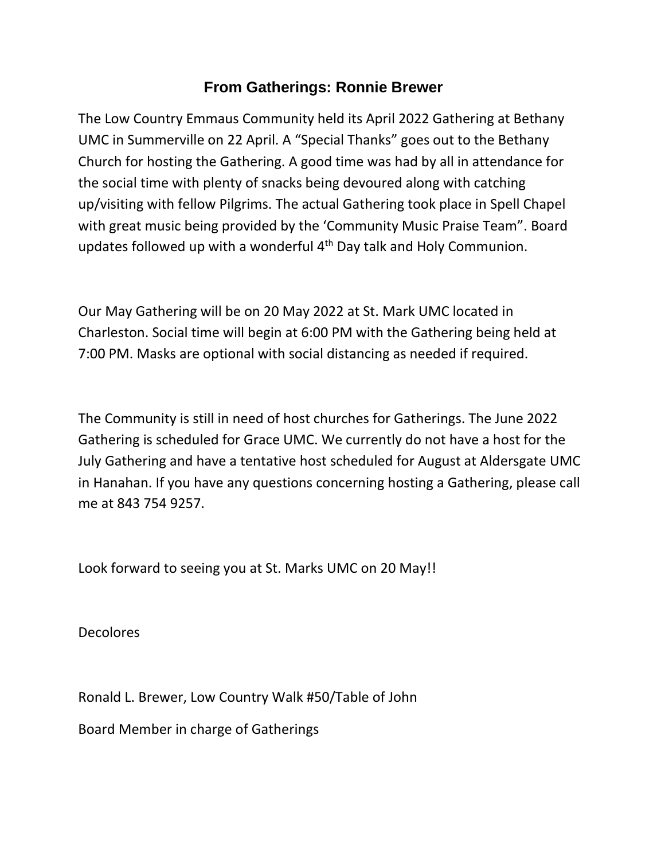### **From Gatherings: Ronnie Brewer**

The Low Country Emmaus Community held its April 2022 Gathering at Bethany UMC in Summerville on 22 April. A "Special Thanks" goes out to the Bethany Church for hosting the Gathering. A good time was had by all in attendance for the social time with plenty of snacks being devoured along with catching up/visiting with fellow Pilgrims. The actual Gathering took place in Spell Chapel with great music being provided by the 'Community Music Praise Team". Board updates followed up with a wonderful 4th Day talk and Holy Communion.

Our May Gathering will be on 20 May 2022 at St. Mark UMC located in Charleston. Social time will begin at 6:00 PM with the Gathering being held at 7:00 PM. Masks are optional with social distancing as needed if required.

The Community is still in need of host churches for Gatherings. The June 2022 Gathering is scheduled for Grace UMC. We currently do not have a host for the July Gathering and have a tentative host scheduled for August at Aldersgate UMC in Hanahan. If you have any questions concerning hosting a Gathering, please call me at 843 754 9257.

Look forward to seeing you at St. Marks UMC on 20 May!!

Decolores

Ronald L. Brewer, Low Country Walk #50/Table of John

Board Member in charge of Gatherings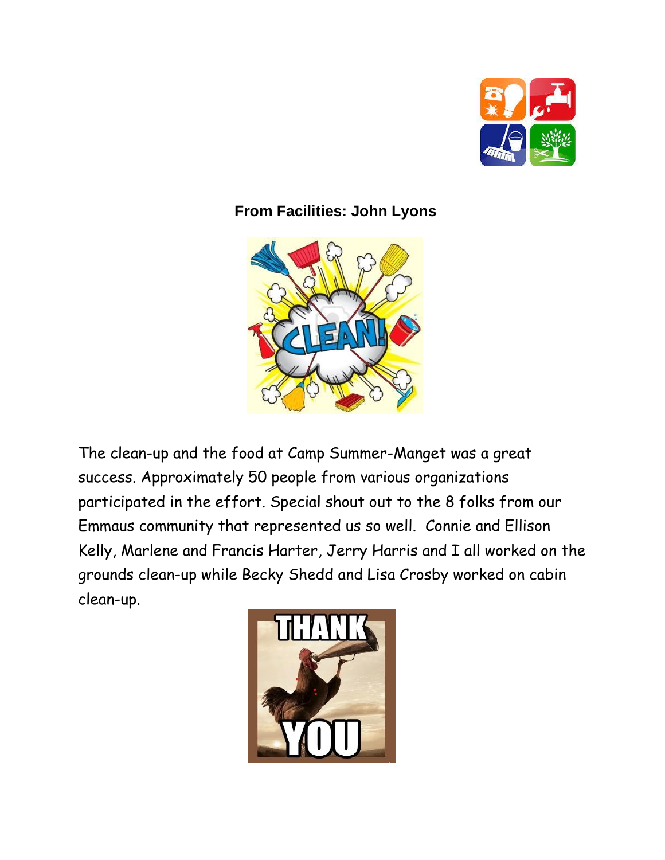

## **From Facilities: John Lyons**



The clean-up and the food at Camp Summer-Manget was a great success. Approximately 50 people from various organizations participated in the effort. Special shout out to the 8 folks from our Emmaus community that represented us so well. Connie and Ellison Kelly, Marlene and Francis Harter, Jerry Harris and I all worked on the grounds clean-up while Becky Shedd and Lisa Crosby worked on cabin clean-up.

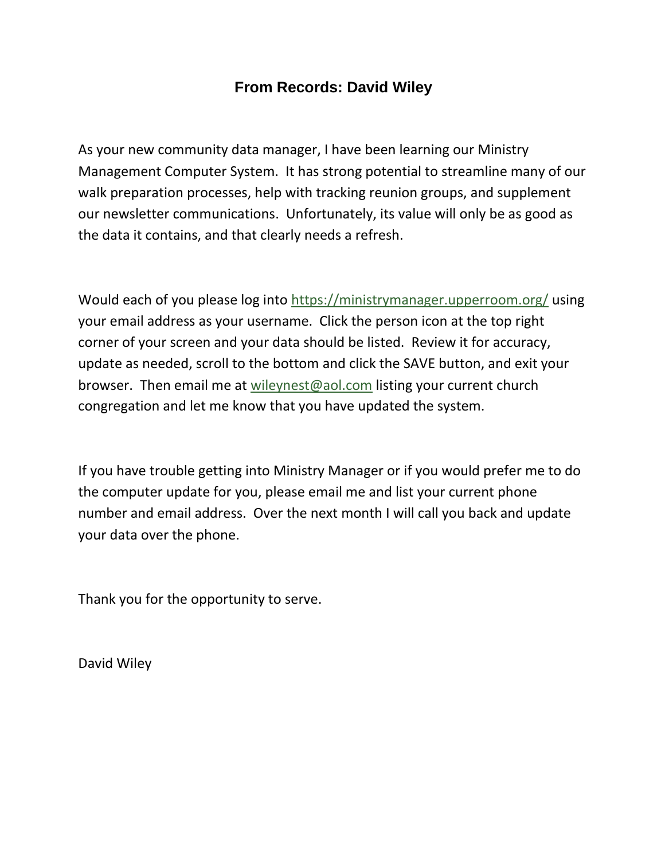#### **From Records: David Wiley**

As your new community data manager, I have been learning our Ministry Management Computer System. It has strong potential to streamline many of our walk preparation processes, help with tracking reunion groups, and supplement our newsletter communications. Unfortunately, its value will only be as good as the data it contains, and that clearly needs a refresh.

Would each of you please log into<https://ministrymanager.upperroom.org/> using your email address as your username. Click the person icon at the top right corner of your screen and your data should be listed. Review it for accuracy, update as needed, scroll to the bottom and click the SAVE button, and exit your browser. Then email me at [wileynest@aol.com](mailto:wileynest@aol.com) listing your current church congregation and let me know that you have updated the system.

If you have trouble getting into Ministry Manager or if you would prefer me to do the computer update for you, please email me and list your current phone number and email address. Over the next month I will call you back and update your data over the phone.

Thank you for the opportunity to serve.

David Wiley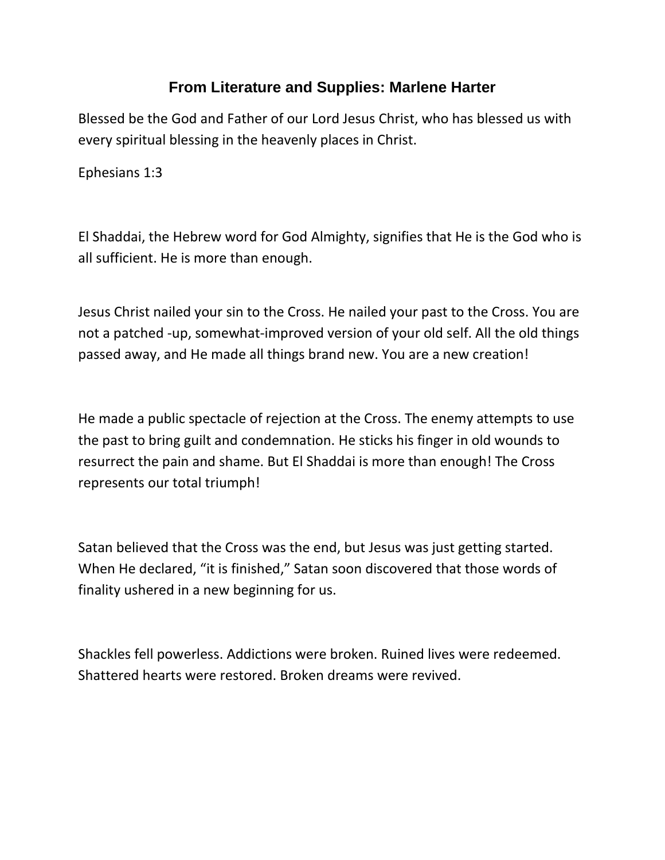### **From Literature and Supplies: Marlene Harter**

Blessed be the God and Father of our Lord Jesus Christ, who has blessed us with every spiritual blessing in the heavenly places in Christ.

Ephesians 1:3

El Shaddai, the Hebrew word for God Almighty, signifies that He is the God who is all sufficient. He is more than enough[.](https://nam04.safelinks.protection.outlook.com/?url=https%3A%2F%2Foverview.mail.yahoo.com%2F%3F.src%3DiOS&data=05%7C01%7Crstacey%40dorchester2.k12.sc.us%7C708b4f9f23df4185348c08da2c4d9c9e%7Ce0ea099fd4f04e568e965c5ad6eedfb8%7C1%7C0%7C637871009104511221%7CUnknown%7CTWFpbGZsb3d8eyJWIjoiMC4wLjAwMDAiLCJQIjoiV2luMzIiLCJBTiI6Ik1haWwiLCJXVCI6Mn0%3D%7C3000%7C%7C%7C&sdata=7godLcIr%2BAIhVLHDK%2BeYgWM7C34MGt8g4AofLVGJ%2FCA%3D&reserved=0)

Jesus Christ nailed your sin to the Cross. He nailed your past to the Cross. You are not a patched -up, somewhat-improved version of your old self. All the old things passed away, and He made all things brand new. You are a new creation!

He made a public spectacle of rejection at the Cross. The enemy attempts to use the past to bring guilt and condemnation. He sticks his finger in old wounds to resurrect the pain and shame. But El Shaddai is more than enough! The Cross represents our total triumph!

Satan believed that the Cross was the end, but Jesus was just getting started. When He declared, "it is finished," Satan soon discovered that those words of finality ushered in a new beginning for us.

Shackles fell powerless. Addictions were broken. Ruined lives were redeemed. Shattered hearts were restored. Broken dreams were revived.